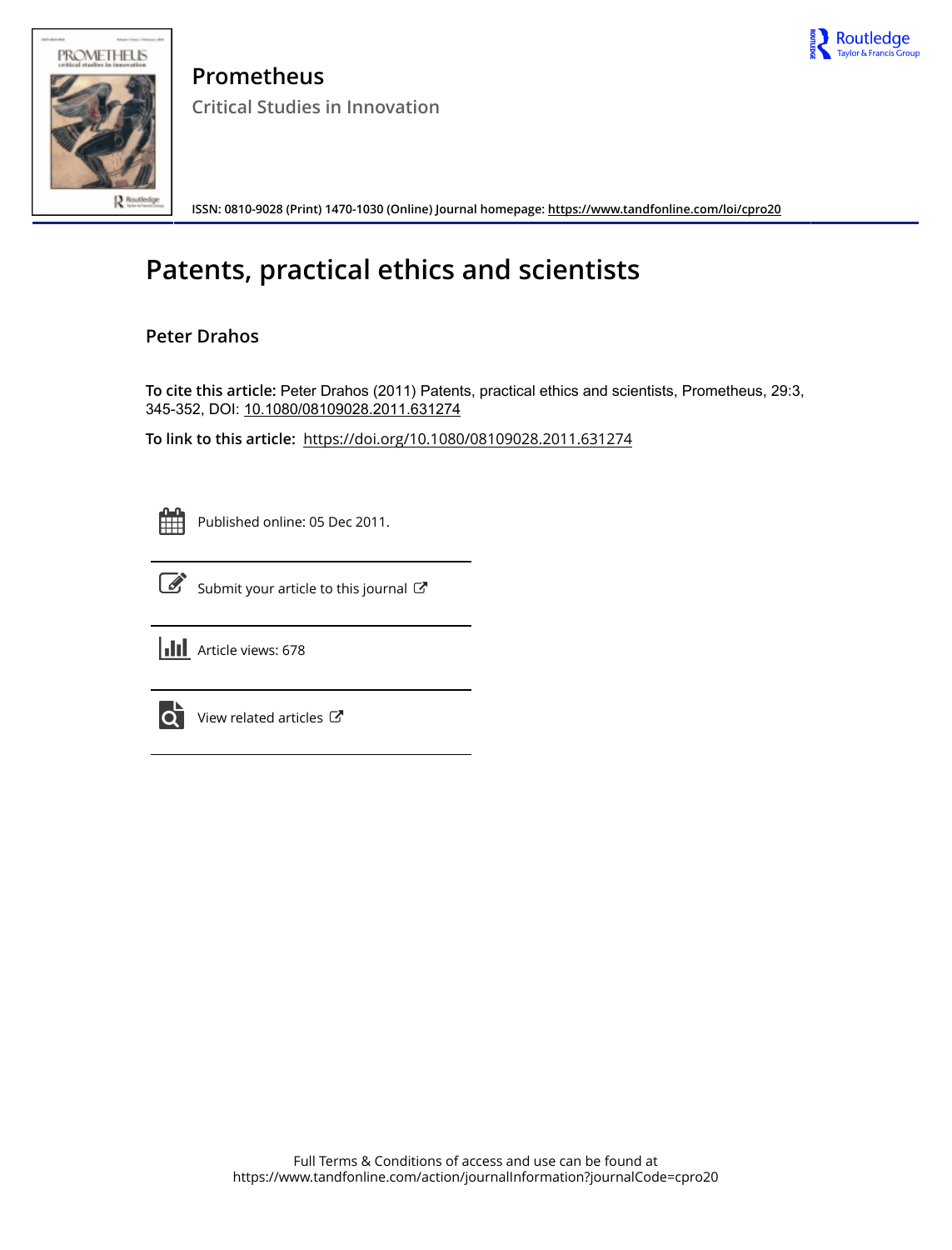



**Prometheus Critical Studies in Innovation**

**ISSN: 0810-9028 (Print) 1470-1030 (Online) Journal homepage:<https://www.tandfonline.com/loi/cpro20>**

# **Patents, practical ethics and scientists**

# **Peter Drahos**

**To cite this article:** Peter Drahos (2011) Patents, practical ethics and scientists, Prometheus, 29:3, 345-352, DOI: [10.1080/08109028.2011.631274](https://www.tandfonline.com/action/showCitFormats?doi=10.1080/08109028.2011.631274)

**To link to this article:** <https://doi.org/10.1080/08109028.2011.631274>

Published online: 05 Dec 2011.



 $\overrightarrow{S}$  [Submit your article to this journal](https://www.tandfonline.com/action/authorSubmission?journalCode=cpro20&show=instructions)  $\overrightarrow{S}$ 



**III** Article views: 678



 $\overrightarrow{Q}$  [View related articles](https://www.tandfonline.com/doi/mlt/10.1080/08109028.2011.631274)  $\overrightarrow{C}$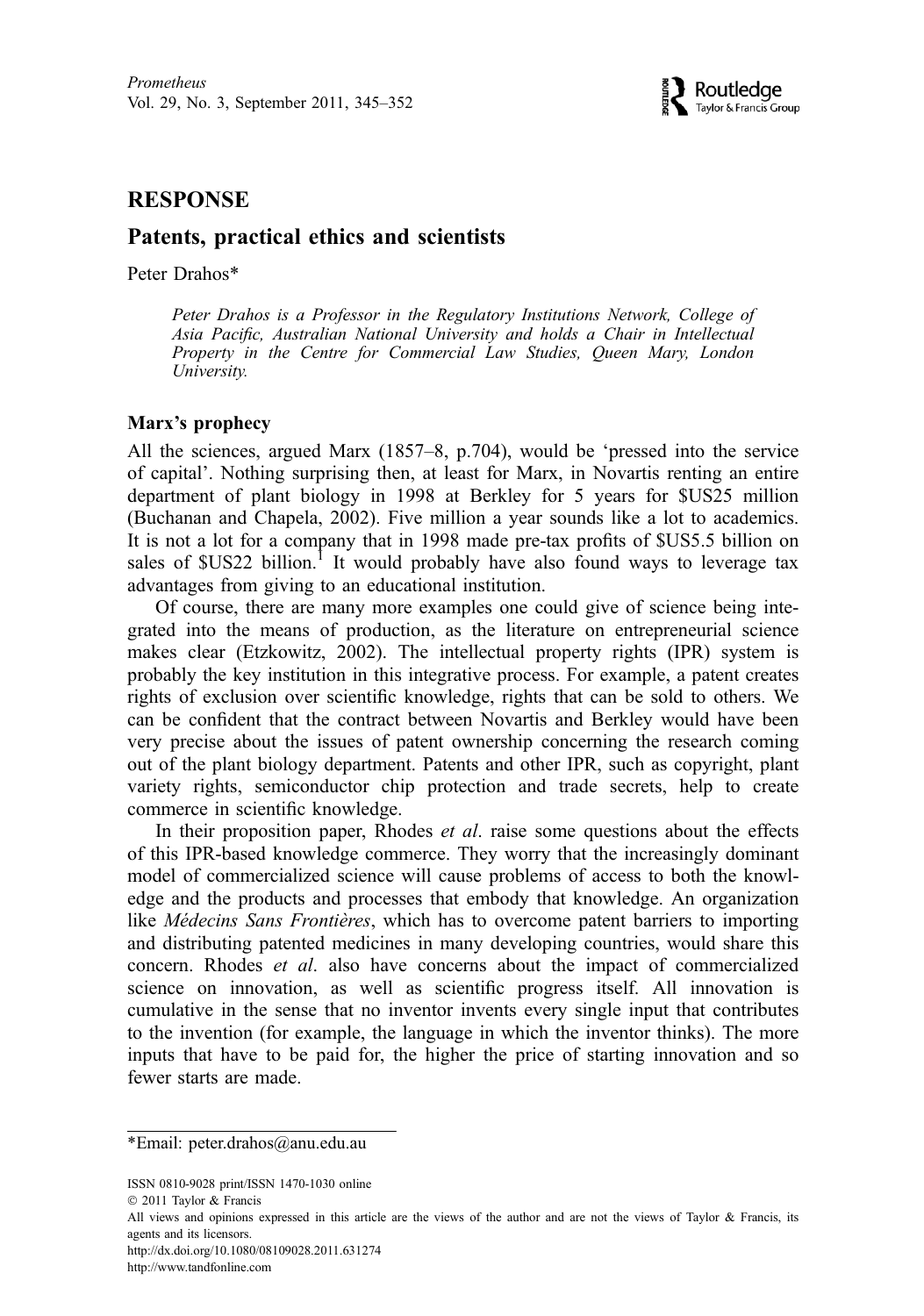### **RESPONSE**

## Patents, practical ethics and scientists

Peter Drahos\*

Peter Drahos is a Professor in the Regulatory Institutions Network, College of Asia Pacific, Australian National University and holds a Chair in Intellectual Property in the Centre for Commercial Law Studies, Queen Mary, London University.

#### Marx's prophecy

All the sciences, argued Marx (1857–8, p.704), would be 'pressed into the service of capital'. Nothing surprising then, at least for Marx, in Novartis renting an entire department of plant biology in 1998 at Berkley for 5 years for \$US25 million (Buchanan and Chapela, 2002). Five million a year sounds like a lot to academics. It is not a lot for a company that in 1998 made pre-tax profits of \$US5.5 billion on sales of  $SUS22$  billion.<sup>1</sup> It would probably have also found ways to leverage tax advantages from giving to an educational institution.

Of course, there are many more examples one could give of science being integrated into the means of production, as the literature on entrepreneurial science makes clear (Etzkowitz, 2002). The intellectual property rights (IPR) system is probably the key institution in this integrative process. For example, a patent creates rights of exclusion over scientific knowledge, rights that can be sold to others. We can be confident that the contract between Novartis and Berkley would have been very precise about the issues of patent ownership concerning the research coming out of the plant biology department. Patents and other IPR, such as copyright, plant variety rights, semiconductor chip protection and trade secrets, help to create commerce in scientific knowledge.

In their proposition paper, Rhodes *et al.* raise some questions about the effects of this IPR-based knowledge commerce. They worry that the increasingly dominant model of commercialized science will cause problems of access to both the knowledge and the products and processes that embody that knowledge. An organization like Médecins Sans Frontières, which has to overcome patent barriers to importing and distributing patented medicines in many developing countries, would share this concern. Rhodes et al. also have concerns about the impact of commercialized science on innovation, as well as scientific progress itself. All innovation is cumulative in the sense that no inventor invents every single input that contributes to the invention (for example, the language in which the inventor thinks). The more inputs that have to be paid for, the higher the price of starting innovation and so fewer starts are made.

ISSN 0810-9028 print/ISSN 1470-1030 online

http://dx.doi.org/10.1080/08109028.2011.631274

http://www.tandfonline.com

<sup>\*</sup>Email: peter.drahos@anu.edu.au

2011 Taylor & Francis

All views and opinions expressed in this article are the views of the author and are not the views of Taylor & Francis, its agents and its licensors.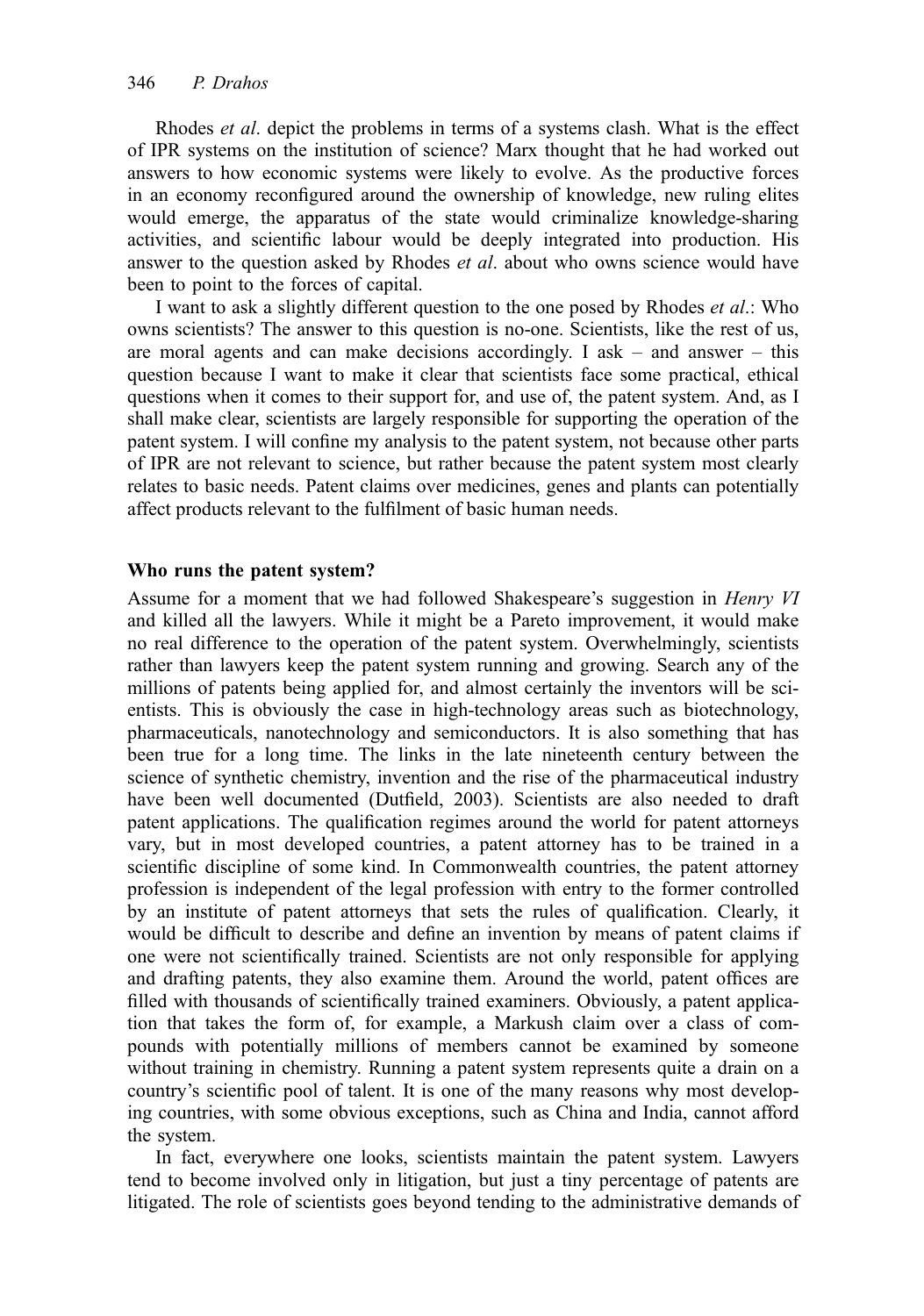Rhodes *et al.* depict the problems in terms of a systems clash. What is the effect of IPR systems on the institution of science? Marx thought that he had worked out answers to how economic systems were likely to evolve. As the productive forces in an economy reconfigured around the ownership of knowledge, new ruling elites would emerge, the apparatus of the state would criminalize knowledge-sharing activities, and scientific labour would be deeply integrated into production. His answer to the question asked by Rhodes *et al.* about who owns science would have been to point to the forces of capital.

I want to ask a slightly different question to the one posed by Rhodes et al.: Who owns scientists? The answer to this question is no-one. Scientists, like the rest of us, are moral agents and can make decisions accordingly. I ask  $-$  and answer  $-$  this question because I want to make it clear that scientists face some practical, ethical questions when it comes to their support for, and use of, the patent system. And, as I shall make clear, scientists are largely responsible for supporting the operation of the patent system. I will confine my analysis to the patent system, not because other parts of IPR are not relevant to science, but rather because the patent system most clearly relates to basic needs. Patent claims over medicines, genes and plants can potentially affect products relevant to the fulfilment of basic human needs.

#### Who runs the patent system?

Assume for a moment that we had followed Shakespeare's suggestion in Henry VI and killed all the lawyers. While it might be a Pareto improvement, it would make no real difference to the operation of the patent system. Overwhelmingly, scientists rather than lawyers keep the patent system running and growing. Search any of the millions of patents being applied for, and almost certainly the inventors will be scientists. This is obviously the case in high-technology areas such as biotechnology, pharmaceuticals, nanotechnology and semiconductors. It is also something that has been true for a long time. The links in the late nineteenth century between the science of synthetic chemistry, invention and the rise of the pharmaceutical industry have been well documented (Dutfield, 2003). Scientists are also needed to draft patent applications. The qualification regimes around the world for patent attorneys vary, but in most developed countries, a patent attorney has to be trained in a scientific discipline of some kind. In Commonwealth countries, the patent attorney profession is independent of the legal profession with entry to the former controlled by an institute of patent attorneys that sets the rules of qualification. Clearly, it would be difficult to describe and define an invention by means of patent claims if one were not scientifically trained. Scientists are not only responsible for applying and drafting patents, they also examine them. Around the world, patent offices are filled with thousands of scientifically trained examiners. Obviously, a patent application that takes the form of, for example, a Markush claim over a class of compounds with potentially millions of members cannot be examined by someone without training in chemistry. Running a patent system represents quite a drain on a country's scientific pool of talent. It is one of the many reasons why most developing countries, with some obvious exceptions, such as China and India, cannot afford the system.

In fact, everywhere one looks, scientists maintain the patent system. Lawyers tend to become involved only in litigation, but just a tiny percentage of patents are litigated. The role of scientists goes beyond tending to the administrative demands of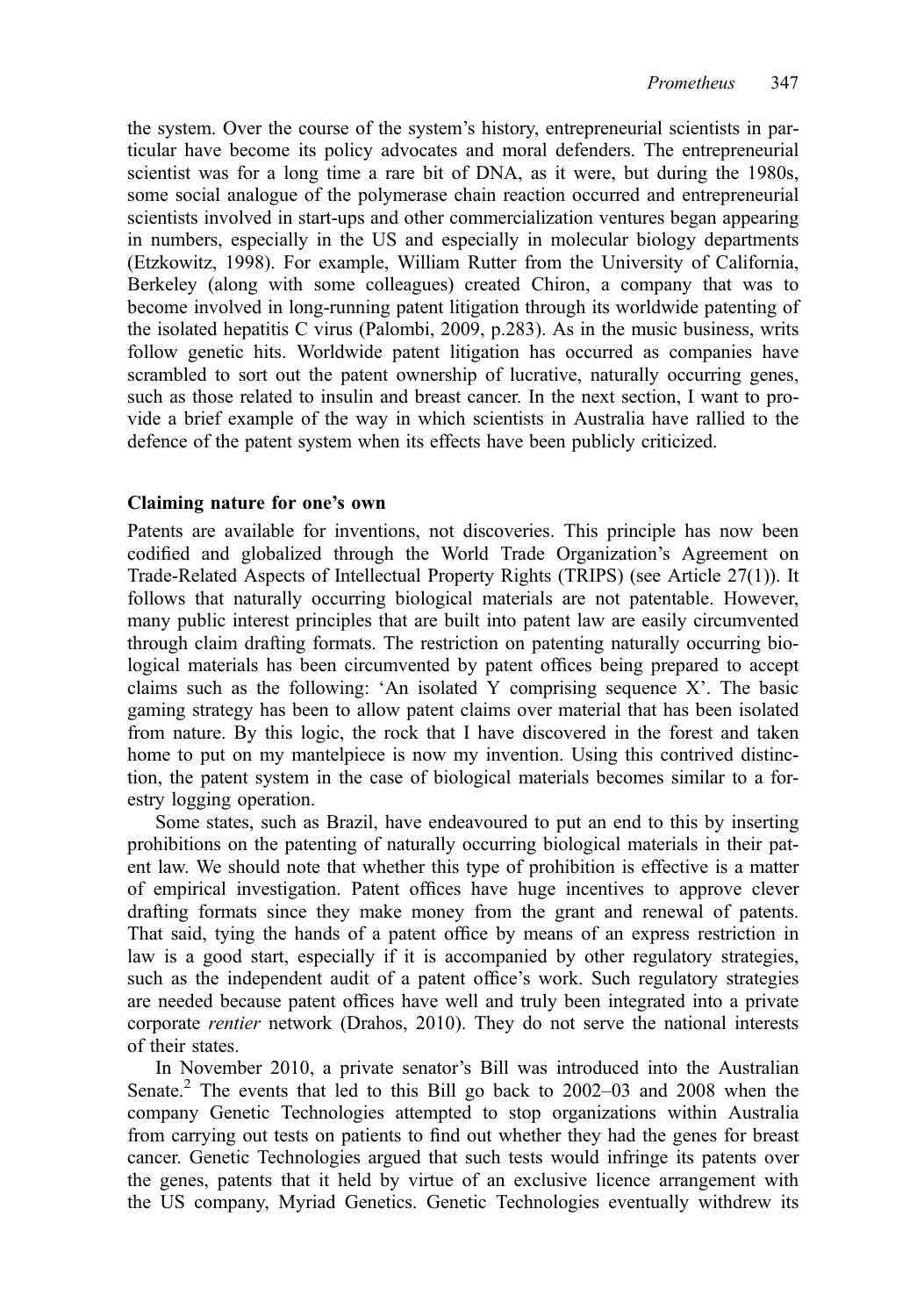the system. Over the course of the system's history, entrepreneurial scientists in particular have become its policy advocates and moral defenders. The entrepreneurial scientist was for a long time a rare bit of DNA, as it were, but during the 1980s, some social analogue of the polymerase chain reaction occurred and entrepreneurial scientists involved in start-ups and other commercialization ventures began appearing in numbers, especially in the US and especially in molecular biology departments (Etzkowitz, 1998). For example, William Rutter from the University of California, Berkeley (along with some colleagues) created Chiron, a company that was to become involved in long-running patent litigation through its worldwide patenting of the isolated hepatitis C virus (Palombi, 2009, p.283). As in the music business, writs follow genetic hits. Worldwide patent litigation has occurred as companies have scrambled to sort out the patent ownership of lucrative, naturally occurring genes, such as those related to insulin and breast cancer. In the next section, I want to provide a brief example of the way in which scientists in Australia have rallied to the defence of the patent system when its effects have been publicly criticized.

#### Claiming nature for one's own

Patents are available for inventions, not discoveries. This principle has now been codified and globalized through the World Trade Organization's Agreement on Trade-Related Aspects of Intellectual Property Rights (TRIPS) (see Article 27(1)). It follows that naturally occurring biological materials are not patentable. However, many public interest principles that are built into patent law are easily circumvented through claim drafting formats. The restriction on patenting naturally occurring biological materials has been circumvented by patent offices being prepared to accept claims such as the following: 'An isolated Y comprising sequence X'. The basic gaming strategy has been to allow patent claims over material that has been isolated from nature. By this logic, the rock that I have discovered in the forest and taken home to put on my mantelpiece is now my invention. Using this contrived distinction, the patent system in the case of biological materials becomes similar to a forestry logging operation.

Some states, such as Brazil, have endeavoured to put an end to this by inserting prohibitions on the patenting of naturally occurring biological materials in their patent law. We should note that whether this type of prohibition is effective is a matter of empirical investigation. Patent offices have huge incentives to approve clever drafting formats since they make money from the grant and renewal of patents. That said, tying the hands of a patent office by means of an express restriction in law is a good start, especially if it is accompanied by other regulatory strategies, such as the independent audit of a patent office's work. Such regulatory strategies are needed because patent offices have well and truly been integrated into a private corporate rentier network (Drahos, 2010). They do not serve the national interests of their states.

In November 2010, a private senator's Bill was introduced into the Australian Senate.<sup>2</sup> The events that led to this Bill go back to  $2002-03$  and  $2008$  when the company Genetic Technologies attempted to stop organizations within Australia from carrying out tests on patients to find out whether they had the genes for breast cancer. Genetic Technologies argued that such tests would infringe its patents over the genes, patents that it held by virtue of an exclusive licence arrangement with the US company, Myriad Genetics. Genetic Technologies eventually withdrew its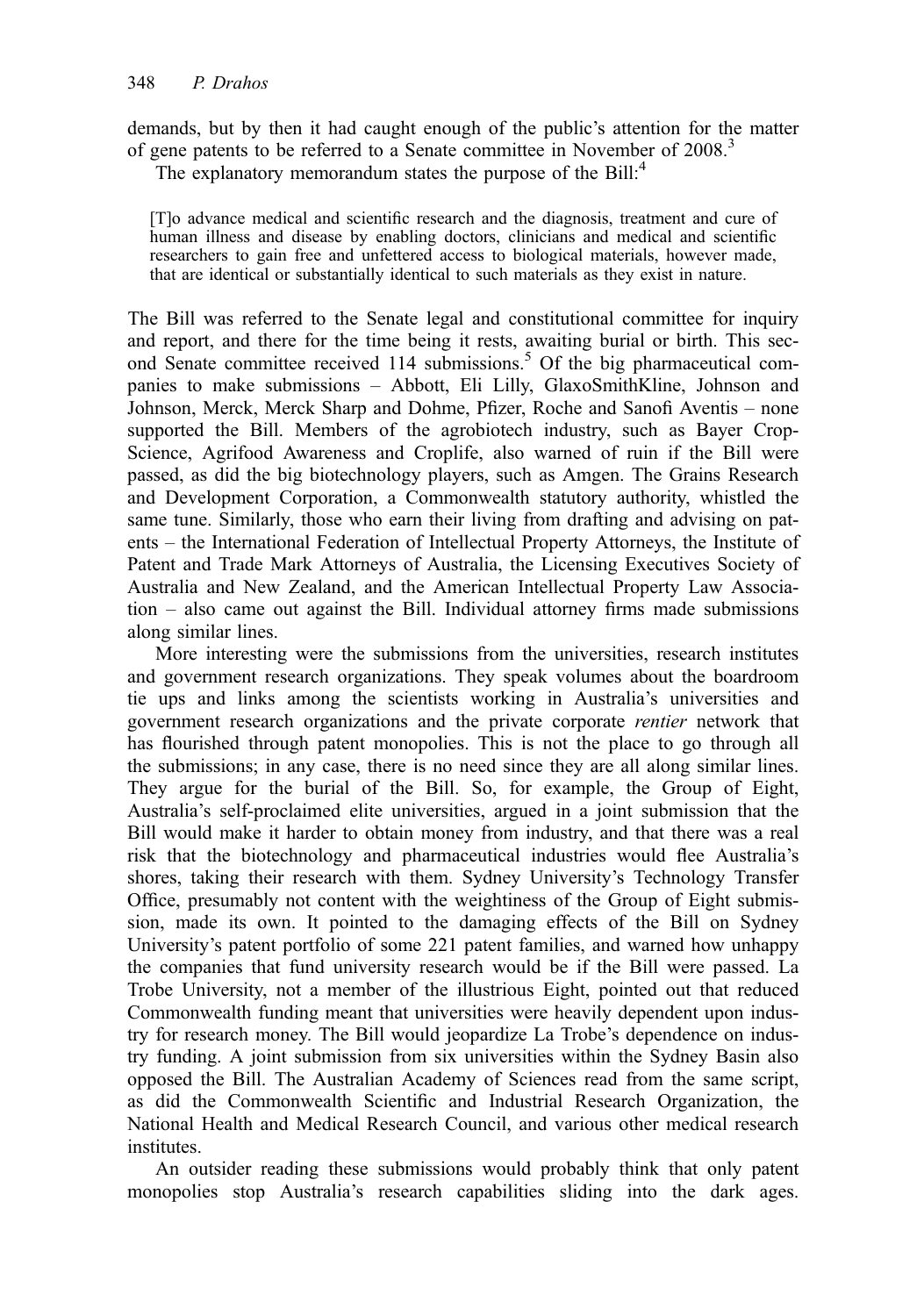demands, but by then it had caught enough of the public's attention for the matter of gene patents to be referred to a Senate committee in November of 2008.<sup>3</sup>

The explanatory memorandum states the purpose of the  $Bill<sup>4</sup>$ 

[T]o advance medical and scientific research and the diagnosis, treatment and cure of human illness and disease by enabling doctors, clinicians and medical and scientific researchers to gain free and unfettered access to biological materials, however made, that are identical or substantially identical to such materials as they exist in nature.

The Bill was referred to the Senate legal and constitutional committee for inquiry and report, and there for the time being it rests, awaiting burial or birth. This second Senate committee received 114 submissions.<sup>5</sup> Of the big pharmaceutical companies to make submissions – Abbott, Eli Lilly, GlaxoSmithKline, Johnson and Johnson, Merck, Merck Sharp and Dohme, Pfizer, Roche and Sanofi Aventis – none supported the Bill. Members of the agrobiotech industry, such as Bayer Crop-Science, Agrifood Awareness and Croplife, also warned of ruin if the Bill were passed, as did the big biotechnology players, such as Amgen. The Grains Research and Development Corporation, a Commonwealth statutory authority, whistled the same tune. Similarly, those who earn their living from drafting and advising on patents – the International Federation of Intellectual Property Attorneys, the Institute of Patent and Trade Mark Attorneys of Australia, the Licensing Executives Society of Australia and New Zealand, and the American Intellectual Property Law Association – also came out against the Bill. Individual attorney firms made submissions along similar lines.

More interesting were the submissions from the universities, research institutes and government research organizations. They speak volumes about the boardroom tie ups and links among the scientists working in Australia's universities and government research organizations and the private corporate rentier network that has flourished through patent monopolies. This is not the place to go through all the submissions; in any case, there is no need since they are all along similar lines. They argue for the burial of the Bill. So, for example, the Group of Eight, Australia's self-proclaimed elite universities, argued in a joint submission that the Bill would make it harder to obtain money from industry, and that there was a real risk that the biotechnology and pharmaceutical industries would flee Australia's shores, taking their research with them. Sydney University's Technology Transfer Office, presumably not content with the weightiness of the Group of Eight submission, made its own. It pointed to the damaging effects of the Bill on Sydney University's patent portfolio of some 221 patent families, and warned how unhappy the companies that fund university research would be if the Bill were passed. La Trobe University, not a member of the illustrious Eight, pointed out that reduced Commonwealth funding meant that universities were heavily dependent upon industry for research money. The Bill would jeopardize La Trobe's dependence on industry funding. A joint submission from six universities within the Sydney Basin also opposed the Bill. The Australian Academy of Sciences read from the same script, as did the Commonwealth Scientific and Industrial Research Organization, the National Health and Medical Research Council, and various other medical research institutes.

An outsider reading these submissions would probably think that only patent monopolies stop Australia's research capabilities sliding into the dark ages.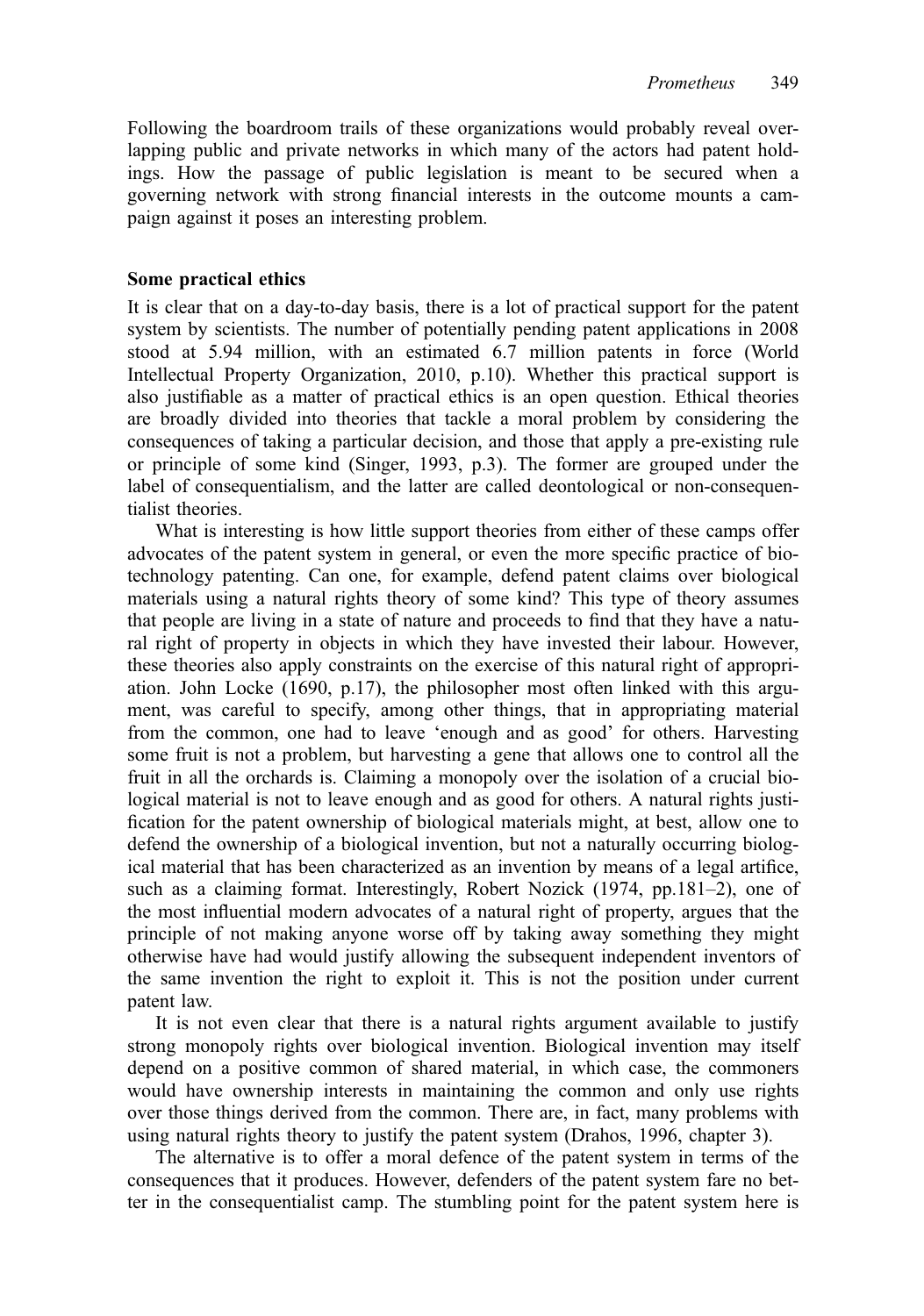Following the boardroom trails of these organizations would probably reveal overlapping public and private networks in which many of the actors had patent holdings. How the passage of public legislation is meant to be secured when a governing network with strong financial interests in the outcome mounts a campaign against it poses an interesting problem.

#### Some practical ethics

It is clear that on a day-to-day basis, there is a lot of practical support for the patent system by scientists. The number of potentially pending patent applications in 2008 stood at 5.94 million, with an estimated 6.7 million patents in force (World Intellectual Property Organization, 2010, p.10). Whether this practical support is also justifiable as a matter of practical ethics is an open question. Ethical theories are broadly divided into theories that tackle a moral problem by considering the consequences of taking a particular decision, and those that apply a pre-existing rule or principle of some kind (Singer, 1993, p.3). The former are grouped under the label of consequentialism, and the latter are called deontological or non-consequentialist theories.

What is interesting is how little support theories from either of these camps offer advocates of the patent system in general, or even the more specific practice of biotechnology patenting. Can one, for example, defend patent claims over biological materials using a natural rights theory of some kind? This type of theory assumes that people are living in a state of nature and proceeds to find that they have a natural right of property in objects in which they have invested their labour. However, these theories also apply constraints on the exercise of this natural right of appropriation. John Locke (1690, p.17), the philosopher most often linked with this argument, was careful to specify, among other things, that in appropriating material from the common, one had to leave 'enough and as good' for others. Harvesting some fruit is not a problem, but harvesting a gene that allows one to control all the fruit in all the orchards is. Claiming a monopoly over the isolation of a crucial biological material is not to leave enough and as good for others. A natural rights justification for the patent ownership of biological materials might, at best, allow one to defend the ownership of a biological invention, but not a naturally occurring biological material that has been characterized as an invention by means of a legal artifice, such as a claiming format. Interestingly, Robert Nozick (1974, pp.181–2), one of the most influential modern advocates of a natural right of property, argues that the principle of not making anyone worse off by taking away something they might otherwise have had would justify allowing the subsequent independent inventors of the same invention the right to exploit it. This is not the position under current patent law.

It is not even clear that there is a natural rights argument available to justify strong monopoly rights over biological invention. Biological invention may itself depend on a positive common of shared material, in which case, the commoners would have ownership interests in maintaining the common and only use rights over those things derived from the common. There are, in fact, many problems with using natural rights theory to justify the patent system (Drahos, 1996, chapter 3).

The alternative is to offer a moral defence of the patent system in terms of the consequences that it produces. However, defenders of the patent system fare no better in the consequentialist camp. The stumbling point for the patent system here is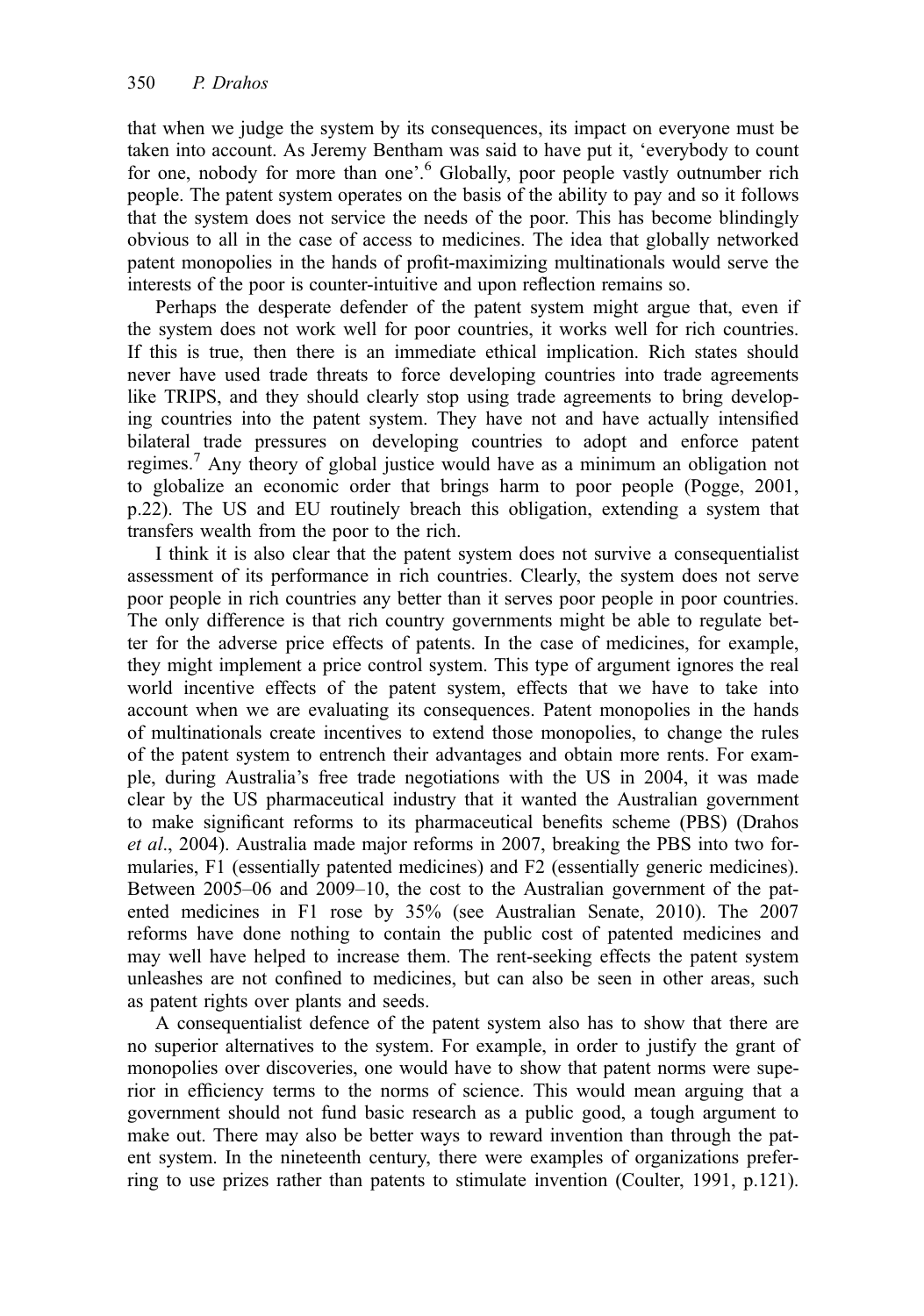that when we judge the system by its consequences, its impact on everyone must be taken into account. As Jeremy Bentham was said to have put it, 'everybody to count for one, nobody for more than one'. <sup>6</sup> Globally, poor people vastly outnumber rich people. The patent system operates on the basis of the ability to pay and so it follows that the system does not service the needs of the poor. This has become blindingly obvious to all in the case of access to medicines. The idea that globally networked patent monopolies in the hands of profit-maximizing multinationals would serve the interests of the poor is counter-intuitive and upon reflection remains so.

Perhaps the desperate defender of the patent system might argue that, even if the system does not work well for poor countries, it works well for rich countries. If this is true, then there is an immediate ethical implication. Rich states should never have used trade threats to force developing countries into trade agreements like TRIPS, and they should clearly stop using trade agreements to bring developing countries into the patent system. They have not and have actually intensified bilateral trade pressures on developing countries to adopt and enforce patent regimes.<sup>7</sup> Any theory of global justice would have as a minimum an obligation not to globalize an economic order that brings harm to poor people (Pogge, 2001, p.22). The US and EU routinely breach this obligation, extending a system that transfers wealth from the poor to the rich.

I think it is also clear that the patent system does not survive a consequentialist assessment of its performance in rich countries. Clearly, the system does not serve poor people in rich countries any better than it serves poor people in poor countries. The only difference is that rich country governments might be able to regulate better for the adverse price effects of patents. In the case of medicines, for example, they might implement a price control system. This type of argument ignores the real world incentive effects of the patent system, effects that we have to take into account when we are evaluating its consequences. Patent monopolies in the hands of multinationals create incentives to extend those monopolies, to change the rules of the patent system to entrench their advantages and obtain more rents. For example, during Australia's free trade negotiations with the US in 2004, it was made clear by the US pharmaceutical industry that it wanted the Australian government to make significant reforms to its pharmaceutical benefits scheme (PBS) (Drahos et al., 2004). Australia made major reforms in 2007, breaking the PBS into two formularies, F1 (essentially patented medicines) and F2 (essentially generic medicines). Between 2005–06 and 2009–10, the cost to the Australian government of the patented medicines in F1 rose by 35% (see Australian Senate, 2010). The 2007 reforms have done nothing to contain the public cost of patented medicines and may well have helped to increase them. The rent-seeking effects the patent system unleashes are not confined to medicines, but can also be seen in other areas, such as patent rights over plants and seeds.

A consequentialist defence of the patent system also has to show that there are no superior alternatives to the system. For example, in order to justify the grant of monopolies over discoveries, one would have to show that patent norms were superior in efficiency terms to the norms of science. This would mean arguing that a government should not fund basic research as a public good, a tough argument to make out. There may also be better ways to reward invention than through the patent system. In the nineteenth century, there were examples of organizations preferring to use prizes rather than patents to stimulate invention (Coulter, 1991, p.121).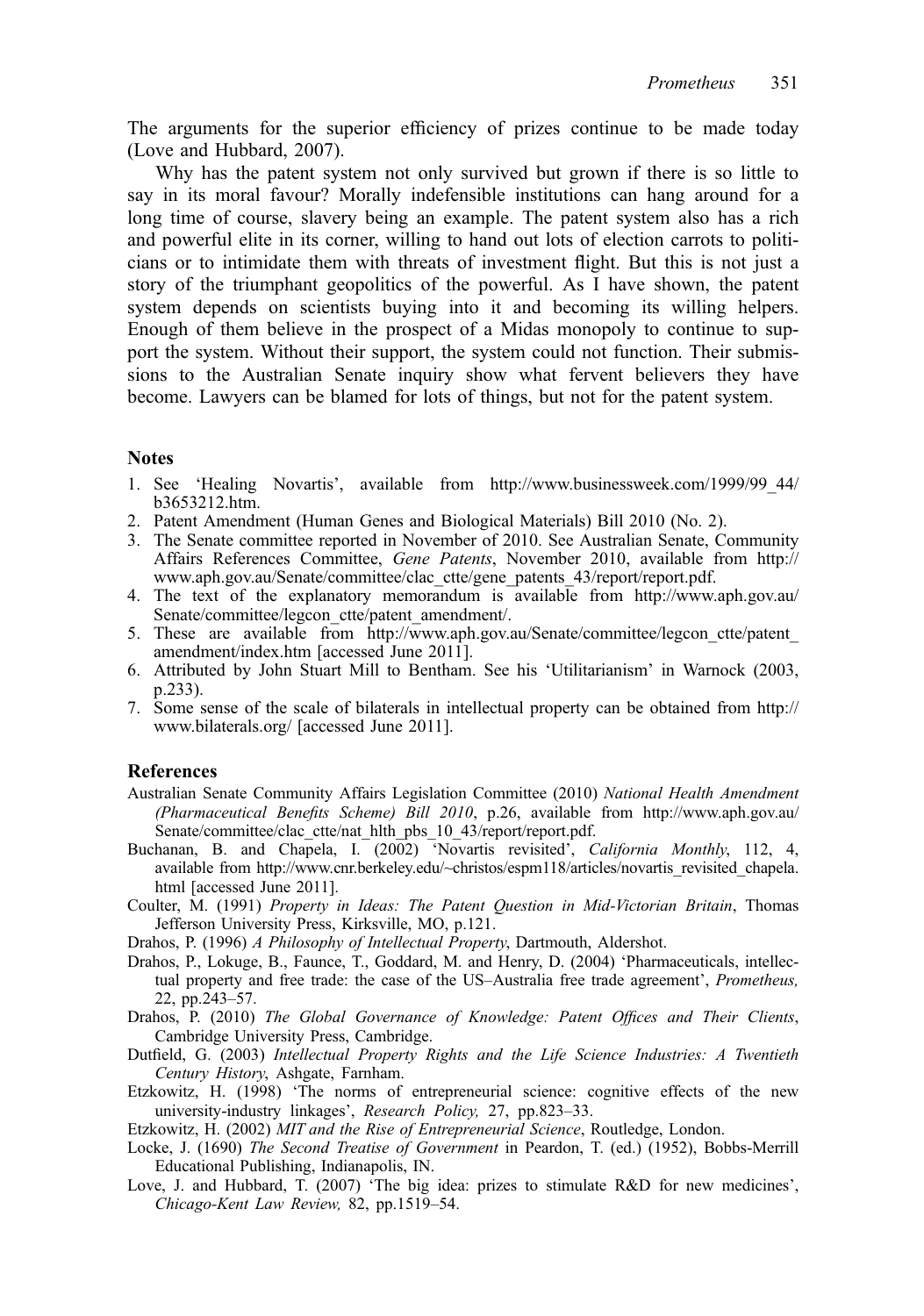The arguments for the superior efficiency of prizes continue to be made today (Love and Hubbard, 2007).

Why has the patent system not only survived but grown if there is so little to say in its moral favour? Morally indefensible institutions can hang around for a long time of course, slavery being an example. The patent system also has a rich and powerful elite in its corner, willing to hand out lots of election carrots to politicians or to intimidate them with threats of investment flight. But this is not just a story of the triumphant geopolitics of the powerful. As I have shown, the patent system depends on scientists buying into it and becoming its willing helpers. Enough of them believe in the prospect of a Midas monopoly to continue to support the system. Without their support, the system could not function. Their submissions to the Australian Senate inquiry show what fervent believers they have become. Lawyers can be blamed for lots of things, but not for the patent system.

#### **Notes**

- 1. See 'Healing Novartis', available from http://www.businessweek.com/1999/99\_44/ b3653212.htm.
- 2. Patent Amendment (Human Genes and Biological Materials) Bill 2010 (No. 2).
- 3. The Senate committee reported in November of 2010. See Australian Senate, Community Affairs References Committee, Gene Patents, November 2010, available from http:// www.aph.gov.au/Senate/committee/clac\_ctte/gene\_patents\_43/report/report.pdf.
- 4. The text of the explanatory memorandum is available from http://www.aph.gov.au/ Senate/committee/legcon\_ctte/patent\_amendment/.
- 5. These are available from http://www.aph.gov.au/Senate/committee/legcon ctte/patent amendment/index.htm [accessed June 2011].
- 6. Attributed by John Stuart Mill to Bentham. See his 'Utilitarianism' in Warnock (2003, p.233).
- 7. Some sense of the scale of bilaterals in intellectual property can be obtained from http:// www.bilaterals.org/ [accessed June 2011].

#### References

- Australian Senate Community Affairs Legislation Committee (2010) National Health Amendment (Pharmaceutical Benefits Scheme) Bill 2010, p.26, available from http://www.aph.gov.au/ Senate/committee/clac\_ctte/nat\_hlth\_pbs\_10\_43/report/report.pdf.
- Buchanan, B. and Chapela, I. (2002) 'Novartis revisited', California Monthly, 112, 4, available from http://www.cnr.berkeley.edu/~christos/espm118/articles/novartis\_revisited\_chapela. html [accessed June 2011].
- Coulter, M. (1991) Property in Ideas: The Patent Question in Mid-Victorian Britain, Thomas Jefferson University Press, Kirksville, MO, p.121.
- Drahos, P. (1996) A Philosophy of Intellectual Property, Dartmouth, Aldershot.
- Drahos, P., Lokuge, B., Faunce, T., Goddard, M. and Henry, D. (2004) 'Pharmaceuticals, intellectual property and free trade: the case of the US–Australia free trade agreement', Prometheus, 22, pp.243–57.
- Drahos, P. (2010) The Global Governance of Knowledge: Patent Offices and Their Clients, Cambridge University Press, Cambridge.
- Dutfield, G. (2003) Intellectual Property Rights and the Life Science Industries: A Twentieth Century History, Ashgate, Farnham.
- Etzkowitz, H. (1998) 'The norms of entrepreneurial science: cognitive effects of the new university-industry linkages', Research Policy, 27, pp.823–33.

Etzkowitz, H. (2002) MIT and the Rise of Entrepreneurial Science, Routledge, London.

- Locke, J. (1690) The Second Treatise of Government in Peardon, T. (ed.) (1952), Bobbs-Merrill Educational Publishing, Indianapolis, IN.
- Love, J. and Hubbard, T. (2007) 'The big idea: prizes to stimulate R&D for new medicines', Chicago-Kent Law Review, 82, pp.1519–54.